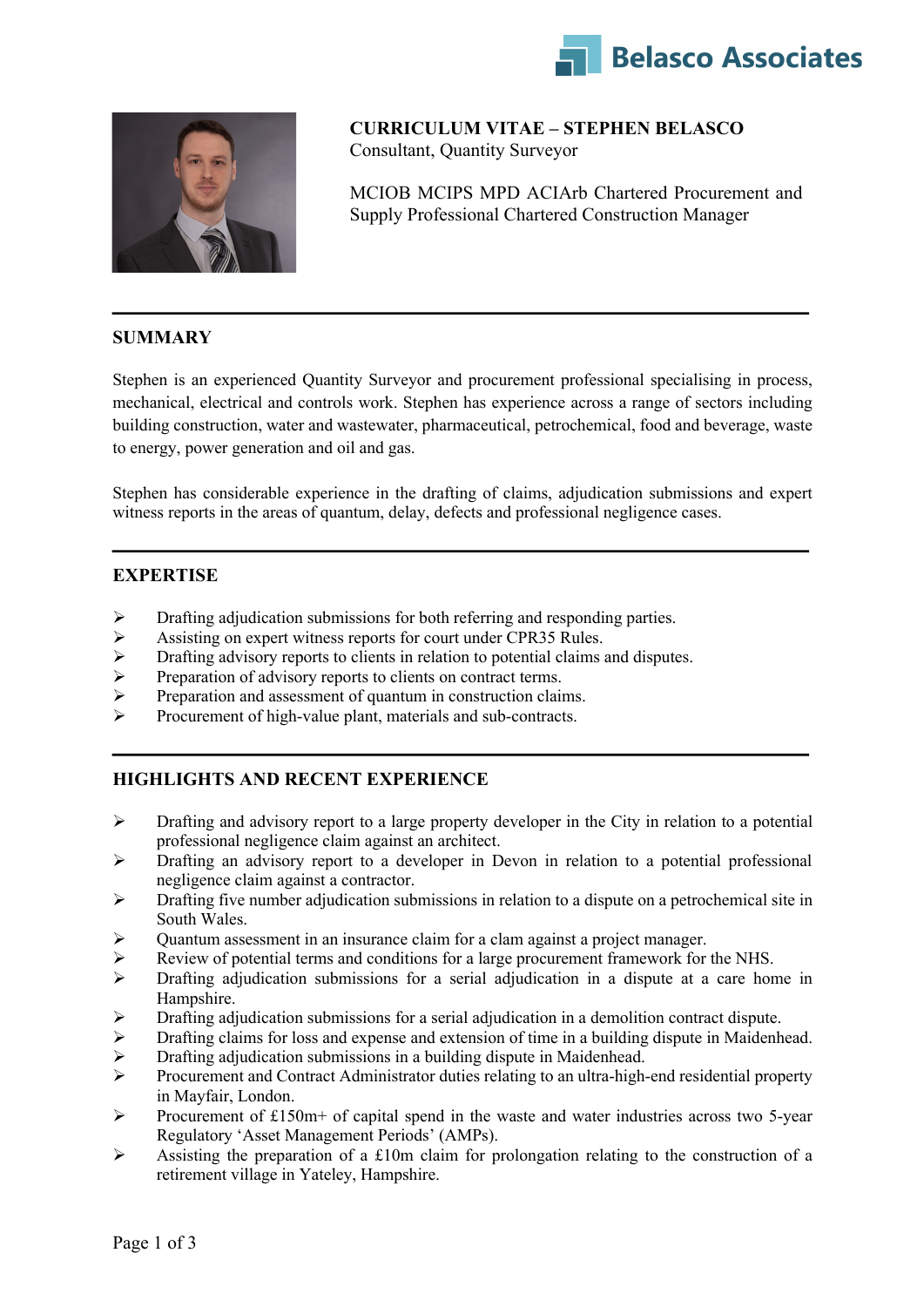



**CURRICULUM VITAE – STEPHEN BELASCO** Consultant, Quantity Surveyor

MCIOB MCIPS MPD ACIArb Chartered Procurement and Supply Professional Chartered Construction Manager

### **SUMMARY**

Stephen is an experienced Quantity Surveyor and procurement professional specialising in process, mechanical, electrical and controls work. Stephen has experience across a range of sectors including building construction, water and wastewater, pharmaceutical, petrochemical, food and beverage, waste to energy, power generation and oil and gas.

Stephen has considerable experience in the drafting of claims, adjudication submissions and expert witness reports in the areas of quantum, delay, defects and professional negligence cases.

### **EXPERTISE**

- $\triangleright$  Drafting adjudication submissions for both referring and responding parties.
- Assisting on expert witness reports for court under CPR35 Rules.<br>  $\triangleright$  Drafting advisory reports to clients in relation to potential claims and
- Drafting advisory reports to clients in relation to potential claims and disputes.
- Ø Preparation of advisory reports to clients on contract terms.
- $\triangleright$  Preparation and assessment of quantum in construction claims.
- Ø Procurement of high-value plant, materials and sub-contracts.

# **HIGHLIGHTS AND RECENT EXPERIENCE**

- $\triangleright$  Drafting and advisory report to a large property developer in the City in relation to a potential professional negligence claim against an architect.
- $\triangleright$  Drafting an advisory report to a developer in Devon in relation to a potential professional negligence claim against a contractor.
- $\triangleright$  Drafting five number adjudication submissions in relation to a dispute on a petrochemical site in South Wales.
- $\triangleright$  Quantum assessment in an insurance claim for a clam against a project manager.
- Review of potential terms and conditions for a large procurement framework for the NHS.
- Ø Drafting adjudication submissions for a serial adjudication in a dispute at a care home in Hampshire.
- Ø Drafting adjudication submissions for a serial adjudication in a demolition contract dispute.
- Ø Drafting claims for loss and expense and extension of time in a building dispute in Maidenhead.
- $\triangleright$  Drafting adjudication submissions in a building dispute in Maidenhead.
- Ø Procurement and Contract Administrator duties relating to an ultra-high-end residential property in Mayfair, London.
- $\triangleright$  Procurement of £150m+ of capital spend in the waste and water industries across two 5-year Regulatory 'Asset Management Periods' (AMPs).
- $\triangleright$  Assisting the preparation of a £10m claim for prolongation relating to the construction of a retirement village in Yateley, Hampshire.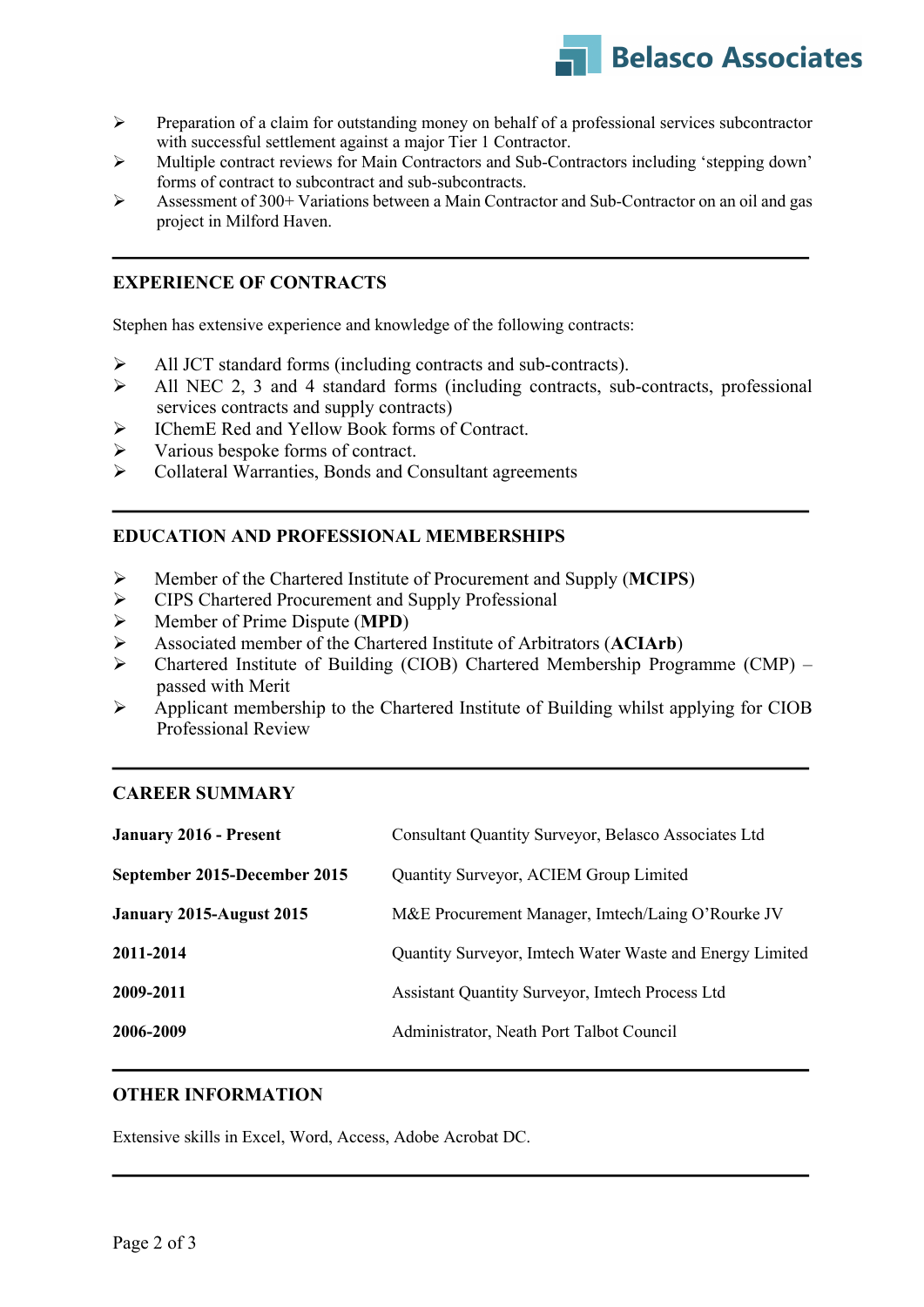

- Ø Preparation of a claim for outstanding money on behalf of a professional services subcontractor with successful settlement against a major Tier 1 Contractor.
- Ø Multiple contract reviews for Main Contractors and Sub-Contractors including 'stepping down' forms of contract to subcontract and sub-subcontracts.
- Ø Assessment of 300+ Variations between a Main Contractor and Sub-Contractor on an oil and gas project in Milford Haven.

### **EXPERIENCE OF CONTRACTS**

Stephen has extensive experience and knowledge of the following contracts:

- Ø All JCT standard forms (including contracts and sub-contracts).
- Ø All NEC 2, 3 and 4 standard forms (including contracts, sub-contracts, professional services contracts and supply contracts)
- Ø IChemE Red and Yellow Book forms of Contract.
- $\triangleright$  Various bespoke forms of contract.
- Ø Collateral Warranties, Bonds and Consultant agreements

### **EDUCATION AND PROFESSIONAL MEMBERSHIPS**

- Ø Member of the Chartered Institute of Procurement and Supply (**MCIPS**)
- Ø CIPS Chartered Procurement and Supply Professional
- Ø Member of Prime Dispute (**MPD**)
- Ø Associated member of the Chartered Institute of Arbitrators (**ACIArb**)
- Ø Chartered Institute of Building (CIOB) Chartered Membership Programme (CMP) passed with Merit
- Ø Applicant membership to the Chartered Institute of Building whilst applying for CIOB Professional Review

#### **CAREER SUMMARY**

| <b>January 2016 - Present</b> | <b>Consultant Quantity Surveyor, Belasco Associates Ltd</b> |
|-------------------------------|-------------------------------------------------------------|
| September 2015-December 2015  | Quantity Surveyor, ACIEM Group Limited                      |
| January 2015-August 2015      | M&E Procurement Manager, Imtech/Laing O'Rourke JV           |
| 2011-2014                     | Quantity Surveyor, Imtech Water Waste and Energy Limited    |
| 2009-2011                     | <b>Assistant Quantity Surveyor, Imtech Process Ltd</b>      |
| 2006-2009                     | Administrator, Neath Port Talbot Council                    |

### **OTHER INFORMATION**

Extensive skills in Excel, Word, Access, Adobe Acrobat DC.